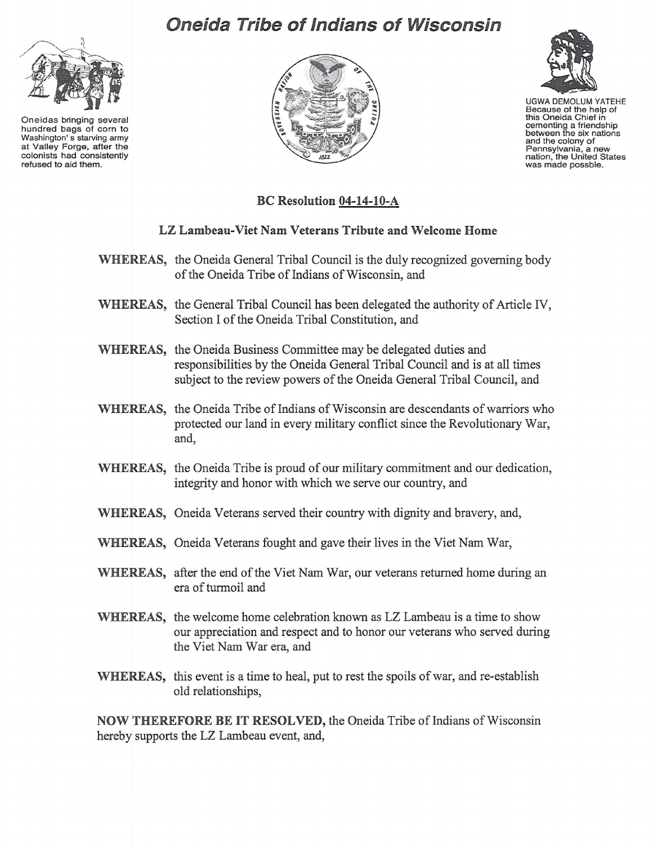

Oneidas bringing several hundred bags of corn to Washington's starving army at Valley Forge, after the colonists had consistently refused to aid them.

## **Oneida Tribe of Indians of Wisconsin**





UGWA DEMOLUM YATEHE Because of the help of<br>this Oneida Chief in cementing a friendship<br>between the six nations between the six nations and the colony of Pennsylvania, a new<br>nation, the United States nation, the United U

## BC Resolution 04-14-10-A

## LZ Lambeau-Viet Nam Veterans Tribute and Welcome Home

- WHEREAS, the Oneida General Tribal Council is the duly recognized governing body of the Oneida Tribe of Indians of Wisconsin, and
- WHEREAS, the General Tribal Council has been delegated the authority of Article IV, Section I of the Oneida Tribal Constitution, and
- WHEREAS, the Oneida Business Committee may be delegated duties and responsibilities by the Oneida General Tribal Council and is at all times subject to the review powers of the Oneida General Tribal Council, and
- WHEREAS, the Oneida Tribe of Indians of Wisconsin are descendants of warriors who protected our land in every military conflict since the Revolutionary War, and,
- WHEREAS, the Oneida Tribe is proud of our military commitment and our dedication, integrity and honor with which we serve our country, and
- WHEREAS, Oneida Veterans served their country with dignity and bravery, and,
- WHEREAS, Oneida Veterans fought and gave their lives in the Viet Nam War,
- WHEREAS, after the end of the Viet Nam War, our veterans returned home during an era of turmoil and
- WHEREAS, the welcome home celebration known as LZ Lambeau is a time to show our appreciation and respect and to honor our veterans who served during the Viet Nam War era, and
- WHEREAS, this event is a time to heal, put to rest the spoils of war, and re-establish old relationships,

NOW THEREFORE BE IT RESOLVED, the Oneida Tribe of Indians of Wisconsin hereby supports the LZ Lambeau event, and,